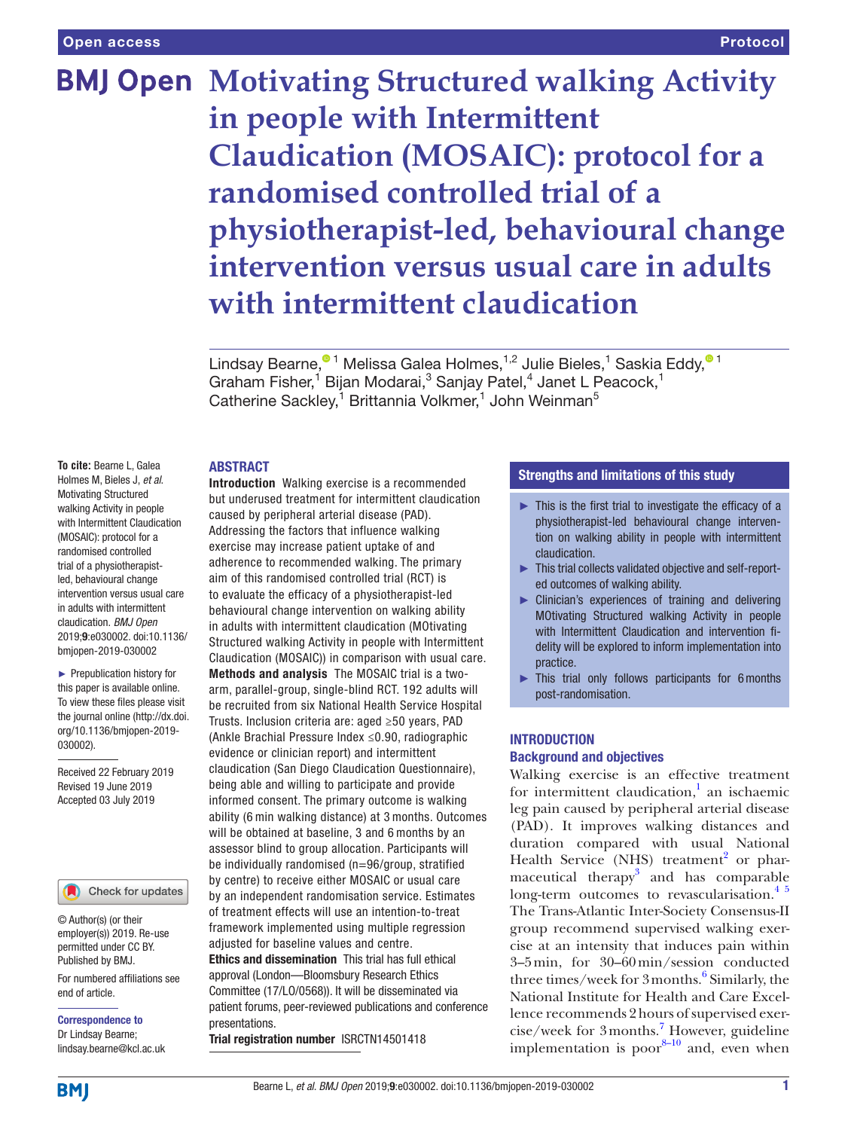# **BMJ Open Motivating Structured walking Activity in people with Intermittent Claudication (MOSAIC): protocol for a randomised controlled trial of a physiotherapist-led, behavioural change intervention versus usual care in adults with intermittent claudication**

Lindsay Bearne[,](http://orcid.org/0000-0002-2190-8590)<sup>® 1</sup> Melissa Galea Holmes,<sup>1,2</sup> Julie Bieles,<sup>1</sup> Saskia Eddy,<sup>® 1</sup> Graham Fisher,<sup>1</sup> Bijan Modarai,<sup>3</sup> Sanjay Patel,<sup>4</sup> Janet L Peacock,<sup>1</sup> Catherine Sackley,<sup>1</sup> Brittannia Volkmer,<sup>1</sup> John Weinman<sup>5</sup>

## **ABSTRACT**

**To cite:** Bearne L, Galea Holmes M, Bieles J, *et al*. Motivating Structured walking Activity in people with Intermittent Claudication (MOSAIC): protocol for a randomised controlled trial of a physiotherapistled, behavioural change intervention versus usual care in adults with intermittent claudication. *BMJ Open* 2019;9:e030002. doi:10.1136/ bmjopen-2019-030002

► Prepublication history for this paper is available online. To view these files please visit the journal online (http://dx.doi. org/10.1136/bmjopen-2019- 030002).

Received 22 February 2019 Revised 19 June 2019 Accepted 03 July 2019

#### Check for updates

© Author(s) (or their employer(s)) 2019. Re-use permitted under CC BY. Published by BMJ.

For numbered affiliations see end of article.

Correspondence to Dr Lindsay Bearne; lindsay.bearne@kcl.ac.uk

Introduction Walking exercise is a recommended but underused treatment for intermittent claudication caused by peripheral arterial disease (PAD). Addressing the factors that influence walking exercise may increase patient uptake of and adherence to recommended walking. The primary aim of this randomised controlled trial (RCT) is to evaluate the efficacy of a physiotherapist-led behavioural change intervention on walking ability in adults with intermittent claudication (MOtivating Structured walking Activity in people with Intermittent Claudication (MOSAIC)) in comparison with usual care. Methods and analysis The MOSAIC trial is a twoarm, parallel-group, single-blind RCT. 192 adults will be recruited from six National Health Service Hospital Trusts. Inclusion criteria are: aged ≥50 years, PAD (Ankle Brachial Pressure Index ≤0.90, radiographic evidence or clinician report) and intermittent claudication (San Diego Claudication Questionnaire), being able and willing to participate and provide informed consent. The primary outcome is walking ability (6 min walking distance) at 3 months. Outcomes will be obtained at baseline, 3 and 6 months by an assessor blind to group allocation. Participants will be individually randomised (n=96/group, stratified by centre) to receive either MOSAIC or usual care by an independent randomisation service. Estimates of treatment effects will use an intention-to-treat framework implemented using multiple regression adjusted for baseline values and centre. Ethics and dissemination This trial has full ethical approval (London—Bloomsbury Research Ethics Committee (17/LO/0568)). It will be disseminated via patient forums, peer-reviewed publications and conference presentations. Trial registration number <ISRCTN14501418>

## Strengths and limitations of this study

- $\blacktriangleright$  This is the first trial to investigate the efficacy of a physiotherapist-led behavioural change intervention on walking ability in people with intermittent claudication.
- ► This trial collects validated objective and self-reported outcomes of walking ability.
- ► Clinician's experiences of training and delivering MOtivating Structured walking Activity in people with Intermittent Claudication and intervention fidelity will be explored to inform implementation into practice.
- ► This trial only follows participants for 6months post-randomisation.

## **INTRODUCTION** Background and objectives

Walking exercise is an effective treatment for intermittent claudication, $\frac{1}{2}$  an ischaemic leg pain caused by peripheral arterial disease (PAD). It improves walking distances and duration compared with usual National Health Service (NHS) treatment<sup>2</sup> or phar-maceutical therapy<sup>[3](#page-10-2)</sup> and has comparable long-term outcomes to revascularization. $4\frac{5}{2}$ The Trans-Atlantic Inter-Society Consensus-II group recommend supervised walking exercise at an intensity that induces pain within 3–5min, for 30–60min/session conducted three times/week for 3 months.<sup>[6](#page-10-4)</sup> Similarly, the National Institute for Health and Care Excellence recommends 2hours of supervised exercise/week for 3months.[7](#page-10-5) However, guideline implementation is  $poor<sup>8-10</sup>$  and, even when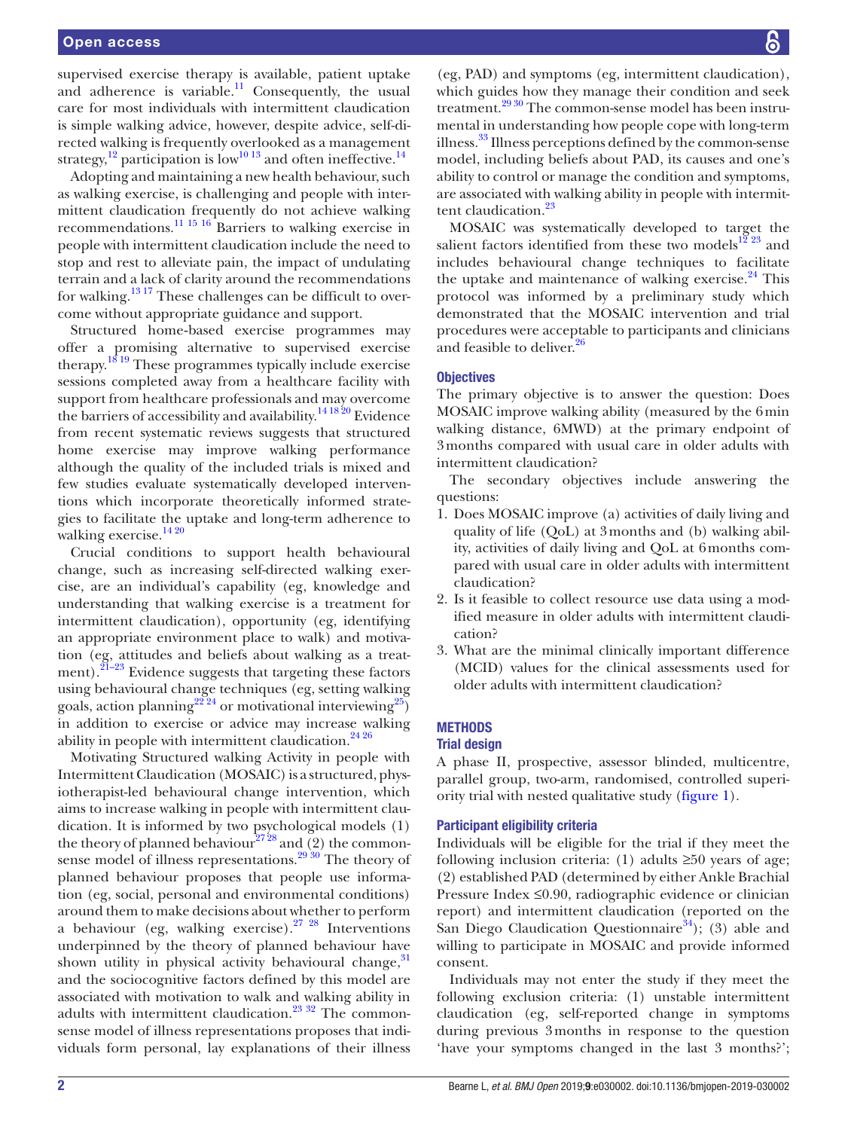supervised exercise therapy is available, patient uptake and adherence is variable.<sup>11</sup> Consequently, the usual care for most individuals with intermittent claudication is simple walking advice, however, despite advice, self-directed walking is frequently overlooked as a management strategy,<sup>[12](#page-10-8)</sup> participation is low<sup>[10 13](#page-10-9)</sup> and often ineffective.<sup>14</sup>

Adopting and maintaining a new health behaviour, such as walking exercise, is challenging and people with intermittent claudication frequently do not achieve walking recommendations[.11 15 16](#page-10-7) Barriers to walking exercise in people with intermittent claudication include the need to stop and rest to alleviate pain, the impact of undulating terrain and a lack of clarity around the recommendations for walking.[13 17](#page-10-11) These challenges can be difficult to overcome without appropriate guidance and support.

Structured home‐based exercise programmes may offer a promising alternative to supervised exercise therapy. $1819$  These programmes typically include exercise sessions completed away from a healthcare facility with support from healthcare professionals and may overcome the barriers of accessibility and availability.<sup>14 18 20</sup> Evidence from recent systematic reviews suggests that structured home exercise may improve walking performance although the quality of the included trials is mixed and few studies evaluate systematically developed interventions which incorporate theoretically informed strategies to facilitate the uptake and long-term adherence to walking exercise.<sup>14 20</sup>

Crucial conditions to support health behavioural change, such as increasing self-directed walking exercise, are an individual's capability (eg, knowledge and understanding that walking exercise is a treatment for intermittent claudication), opportunity (eg, identifying an appropriate environment place to walk) and motivation (eg, attitudes and beliefs about walking as a treatment). $2^{1-23}$  Evidence suggests that targeting these factors using behavioural change techniques (eg, setting walking goals, action planning<sup>22 24</sup> or motivational interviewing<sup>25</sup>) in addition to exercise or advice may increase walking ability in people with intermittent claudication.<sup>24 26</sup>

Motivating Structured walking Activity in people with Intermittent Claudication (MOSAIC) is a structured, physiotherapist-led behavioural change intervention, which aims to increase walking in people with intermittent claudication. It is informed by two psychological models (1) the theory of planned behaviour<sup>2728</sup> and (2) the commonsense model of illness representations.<sup>29 30</sup> The theory of planned behaviour proposes that people use information (eg, social, personal and environmental conditions) around them to make decisions about whether to perform a behaviour (eg, walking exercise). $27 \frac{28}{10}$  Interventions underpinned by the theory of planned behaviour have shown utility in physical activity behavioural change, $31$ and the sociocognitive factors defined by this model are associated with motivation to walk and walking ability in adults with intermittent claudication.<sup>23 32</sup> The commonsense model of illness representations proposes that individuals form personal, lay explanations of their illness

(eg, PAD) and symptoms (eg, intermittent claudication), which guides how they manage their condition and seek treatment.<sup>29 30</sup> The common-sense model has been instrumental in understanding how people cope with long-term illness.<sup>33</sup> Illness perceptions defined by the common-sense model, including beliefs about PAD, its causes and one's ability to control or manage the condition and symptoms, are associated with walking ability in people with intermittent claudication.<sup>23</sup>

MOSAIC was systematically developed to target the salient factors identified from these two models $^{12\,23}$  and includes behavioural change techniques to facilitate the uptake and maintenance of walking exercise. $24$  This protocol was informed by a preliminary study which demonstrated that the MOSAIC intervention and trial procedures were acceptable to participants and clinicians and feasible to deliver.<sup>[26](#page-11-5)</sup>

# **Objectives**

The primary objective is to answer the question: Does MOSAIC improve walking ability (measured by the 6min walking distance, 6MWD) at the primary endpoint of 3months compared with usual care in older adults with intermittent claudication?

The secondary objectives include answering the questions:

- 1. Does MOSAIC improve (a) activities of daily living and quality of life (QoL) at 3months and (b) walking ability, activities of daily living and QoL at 6months compared with usual care in older adults with intermittent claudication?
- 2. Is it feasible to collect resource use data using a modified measure in older adults with intermittent claudication?
- 3. What are the minimal clinically important difference (MCID) values for the clinical assessments used for older adults with intermittent claudication?

## **METHODS**

## Trial design

A phase II, prospective, assessor blinded, multicentre, parallel group, two-arm, randomised, controlled superiority trial with nested qualitative study ([figure](#page-2-0) 1).

## Participant eligibility criteria

Individuals will be eligible for the trial if they meet the following inclusion criteria: (1) adults  $\geq 50$  years of age; (2) established PAD (determined by either Ankle Brachial Pressure Index ≤0.90, radiographic evidence or clinician report) and intermittent claudication (reported on the San Diego Claudication Questionnaire<sup>34</sup>); (3) able and willing to participate in MOSAIC and provide informed consent.

Individuals may not enter the study if they meet the following exclusion criteria: (1) unstable intermittent claudication (eg, self-reported change in symptoms during previous 3months in response to the question 'have your symptoms changed in the last 3 months?';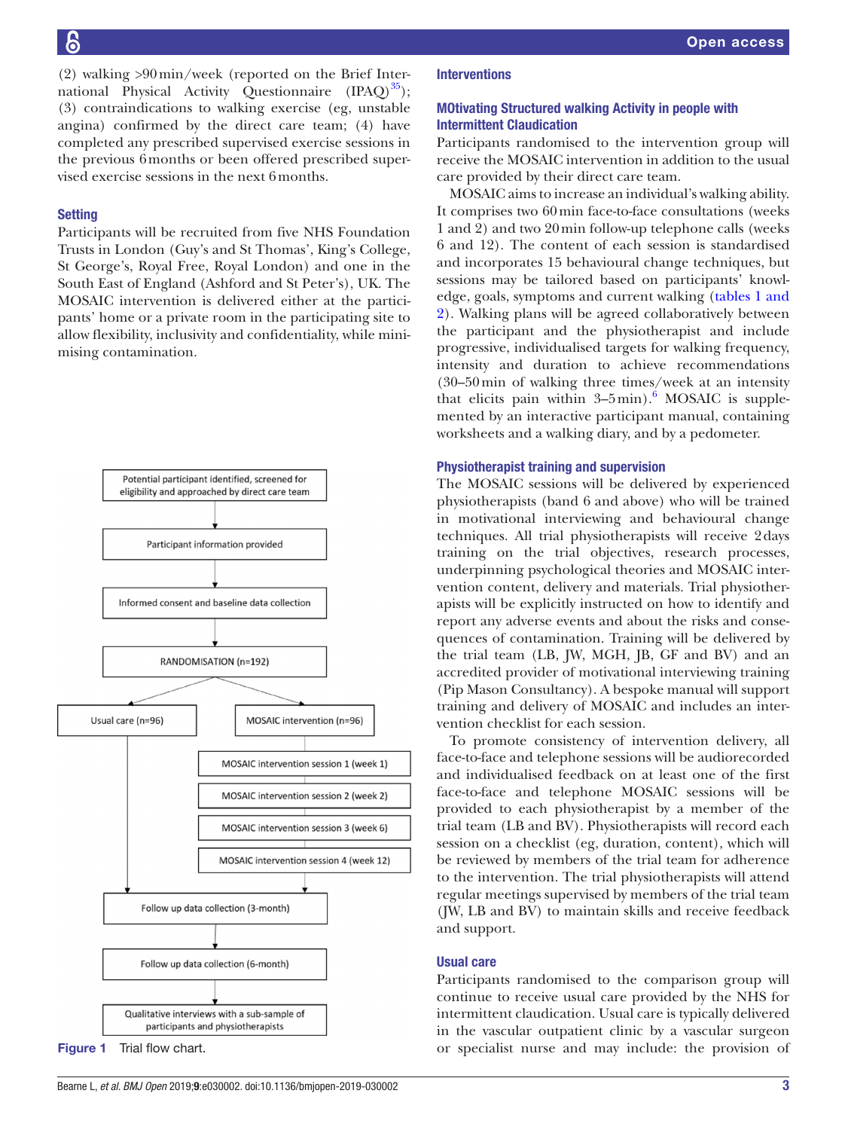(2) walking >90min/week (reported on the Brief International Physical Activity Questionnaire  $(IPAQ)^{35}$  $(IPAQ)^{35}$  $(IPAQ)^{35}$ ; (3) contraindications to walking exercise (eg, unstable angina) confirmed by the direct care team; (4) have completed any prescribed supervised exercise sessions in the previous 6months or been offered prescribed supervised exercise sessions in the next 6months.

## **Setting**

Participants will be recruited from five NHS Foundation Trusts in London (Guy's and St Thomas', King's College, St George's, Royal Free, Royal London) and one in the South East of England (Ashford and St Peter's), UK. The MOSAIC intervention is delivered either at the participants' home or a private room in the participating site to allow flexibility, inclusivity and confidentiality, while minimising contamination.



#### Interventions

# MOtivating Structured walking Activity in people with Intermittent Claudication

Participants randomised to the intervention group will receive the MOSAIC intervention in addition to the usual care provided by their direct care team.

MOSAIC aims to increase an individual's walking ability. It comprises two 60min face-to-face consultations (weeks 1 and 2) and two 20min follow-up telephone calls (weeks 6 and 12). The content of each session is standardised and incorporates 15 behavioural change techniques, but sessions may be tailored based on participants' knowledge, goals, symptoms and current walking [\(tables](#page-3-0) 1 and [2](#page-3-0)). Walking plans will be agreed collaboratively between the participant and the physiotherapist and include progressive, individualised targets for walking frequency, intensity and duration to achieve recommendations (30–50min of walking three times/week at an intensity that elicits pain within  $3-5$  min).<sup>6</sup> MOSAIC is supplemented by an interactive participant manual, containing worksheets and a walking diary, and by a pedometer.

#### Physiotherapist training and supervision

The MOSAIC sessions will be delivered by experienced physiotherapists (band 6 and above) who will be trained in motivational interviewing and behavioural change techniques. All trial physiotherapists will receive 2days training on the trial objectives, research processes, underpinning psychological theories and MOSAIC intervention content, delivery and materials. Trial physiotherapists will be explicitly instructed on how to identify and report any adverse events and about the risks and consequences of contamination. Training will be delivered by the trial team (LB, JW, MGH, JB, GF and BV) and an accredited provider of motivational interviewing training (Pip Mason Consultancy). A bespoke manual will support training and delivery of MOSAIC and includes an intervention checklist for each session.

To promote consistency of intervention delivery, all face-to-face and telephone sessions will be audiorecorded and individualised feedback on at least one of the first face-to-face and telephone MOSAIC sessions will be provided to each physiotherapist by a member of the trial team (LB and BV). Physiotherapists will record each session on a checklist (eg, duration, content), which will be reviewed by members of the trial team for adherence to the intervention. The trial physiotherapists will attend regular meetings supervised by members of the trial team (JW, LB and BV) to maintain skills and receive feedback and support.

## Usual care

<span id="page-2-0"></span>Participants randomised to the comparison group will continue to receive usual care provided by the NHS for intermittent claudication. Usual care is typically delivered in the vascular outpatient clinic by a vascular surgeon or specialist nurse and may include: the provision of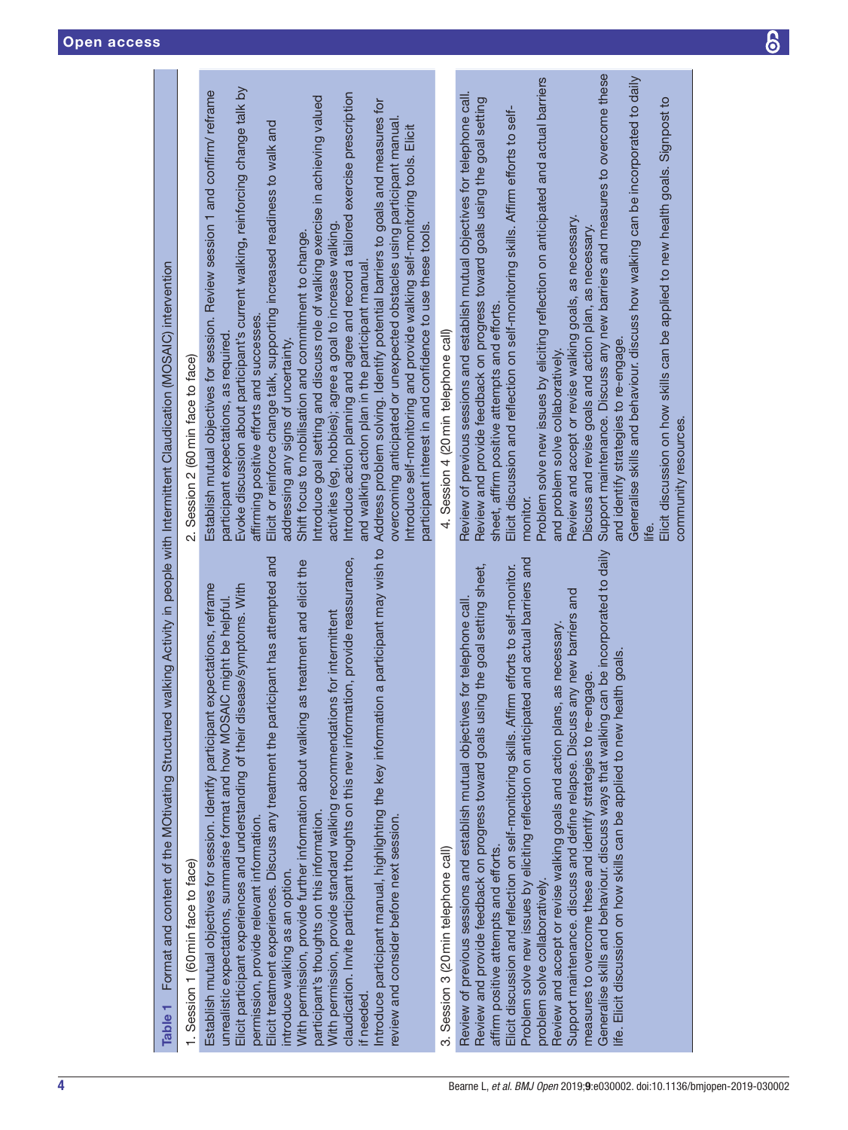<span id="page-3-0"></span>

| 2. Session 2 (60 min face to face)                                                                                                                                                          | Evoke discussion about participant's current walking, reinforcing change talk by<br>Establish mutual objectives for session. Review session 1 and confirm/ reframe<br>Introduce action planning and agree and record a tailored exercise prescription<br>Introduce goal setting and discuss role of walking exercise in achieving valued<br>Address problem solving. Identify potential barriers to goals and measures for<br>overcoming anticipated or unexpected obstacles using participant manual.<br>Elicit or reinforce change talk, supporting increased readiness to walk and<br>Introduce self-monitoring and provide walking self-monitoring tools. Elicit<br>activities (eg, hobbies); agree a goal to increase walking.<br>participant interest in and confidence to use these tools.<br>Shift focus to mobilisation and commitment to change.<br>and walking action plan in the participant manual.<br>affirming positive efforts and successes.<br>participant expectations, as required.<br>addressing any signs of uncertainty. | 4. Session 4 (20 min telephone call) | Support maintenance. Discuss any new barriers and measures to overcome these<br>Generalise skills and behaviour. discuss how walking can be incorporated to daily<br>Problem solve new issues by eliciting reflection on anticipated and actual barriers<br>Review of previous sessions and establish mutual objectives for telephone call.<br>Review and provide feedback on progress toward goals using the goal setting<br>Elicit discussion on how skills can be applied to new health goals. Signpost to<br>Elicit discussion and reflection on self-monitoring skills. Affirm efforts to self-<br>Review and accept or revise walking goals, as necessary.<br>Discuss and revise goals and action plan, as necessary.<br>sheet, affirm positive attempts and efforts.<br>and identify strategies to re-engage.<br>and problem solve collaboratively.<br>community resources.<br>monitor. |
|---------------------------------------------------------------------------------------------------------------------------------------------------------------------------------------------|-------------------------------------------------------------------------------------------------------------------------------------------------------------------------------------------------------------------------------------------------------------------------------------------------------------------------------------------------------------------------------------------------------------------------------------------------------------------------------------------------------------------------------------------------------------------------------------------------------------------------------------------------------------------------------------------------------------------------------------------------------------------------------------------------------------------------------------------------------------------------------------------------------------------------------------------------------------------------------------------------------------------------------------------------|--------------------------------------|------------------------------------------------------------------------------------------------------------------------------------------------------------------------------------------------------------------------------------------------------------------------------------------------------------------------------------------------------------------------------------------------------------------------------------------------------------------------------------------------------------------------------------------------------------------------------------------------------------------------------------------------------------------------------------------------------------------------------------------------------------------------------------------------------------------------------------------------------------------------------------------------|
| Format and content of the MOtivating Structured walking Activity in people with Intermittent Claudication (MOSAIC) intervention<br>1. Session 1 (60 min face to face)<br>Table <sub>1</sub> | Introduce participant manual, highlighting the key information a participant may wish to<br>Elicit treatment experiences. Discuss any treatment the participant has attempted and<br>claudication. Invite participant thoughts on this new information, provide reassurance,<br>is treatment and elicit the<br>Establish mutual objectives for session. Identify participant expectations, reframe<br>Elicit participant experiences and understanding of their disease/symptoms. With<br>unrealistic expectations, summarise format and how MOSAIC might be helpful.<br>With permission, provide standard walking recommendations for intermittent<br>With permission, provide further information about walking a<br>participant's thoughts on this information.<br>permission, provide relevant information.<br>review and consider before next session.<br>introduce walking as an option.<br>if needed.                                                                                                                                    | 3. Session 3 (20 min telephone call) | Generalise skills and behaviour. discuss ways that walking can be incorporated to daily<br>Problem solve new issues by eliciting reflection on anticipated and actual barriers and<br>ig the goal setting sheet,<br>Elicit discussion and reflection on self-monitoring skills. Affirm efforts to self-monitor.<br>Support maintenance. discuss and define relapse. Discuss any new barriers and<br>Review of previous sessions and establish mutual objectives for telephone call.<br>Review and accept or revise walking goals and action plans, as necessary.<br>Elicit discussion on how skills can be applied to new health goals.<br>measures to overcome these and identify strategies to re-engage.<br>Review and provide feedback on progress toward goals usin<br>affirm positive attempts and efforts.<br>problem solve collaboratively.<br>life.                                   |

 $\delta$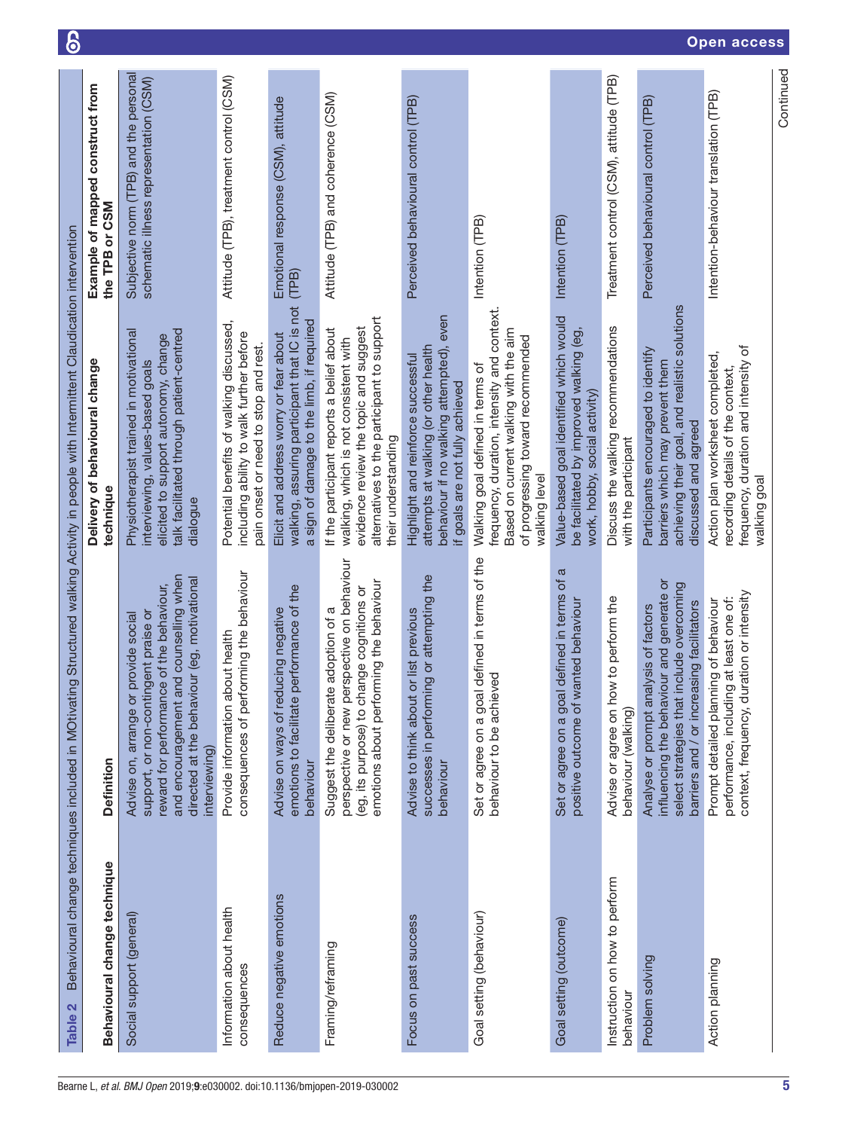| Behavioural change techniques included in MOtivati<br>Table 2 |                                                                                                                                                                                                                                       | ing Structured walking Activity in people with Intermittent Claudication intervention                                                                                                            |                                                                                  |
|---------------------------------------------------------------|---------------------------------------------------------------------------------------------------------------------------------------------------------------------------------------------------------------------------------------|--------------------------------------------------------------------------------------------------------------------------------------------------------------------------------------------------|----------------------------------------------------------------------------------|
| Behavioural change technique                                  | Definition                                                                                                                                                                                                                            | Delivery of behavioural change<br>technique                                                                                                                                                      | Example of mapped construct from<br>the TPB or CSM                               |
| Social support (general)                                      | and encouragement and counselling when<br>directed at the behaviour (eg, motivational<br>reward for performance of the behaviour,<br>support, or non-contingent praise or<br>provide social<br>Advise on, arrange or<br>interviewing) | talk facilitated through patient-centred<br>Physiotherapist trained in motivational<br>elicited to support autonomy, change<br>interviewing, values-based goals<br>dialogue                      | Subjective norm (TPB) and the personal<br>schematic illness representation (CSM) |
| Information about health<br>consequences                      | consequences of performing the behaviour<br>Provide information about health                                                                                                                                                          | Potential benefits of walking discussed,<br>including ability to walk further before<br>pain onset or need to stop and rest.                                                                     | Attitude (TPB), treatment control (CSM)                                          |
| Reduce negative emotions                                      | emotions to facilitate performance of the<br>Advise on ways of reducing negative<br>behaviour                                                                                                                                         | walking, assuring participant that IC is not<br>a sign of damage to the limb, if required<br>Elicit and address worry or fear about                                                              | Emotional response (CSM), attitude<br>(TPB)                                      |
| Framing/reframing                                             | perspective or new perspective on behaviour<br>emotions about performing the behaviour<br>(eg, its purpose) to change cognitions or<br>Suggest the deliberate adoption of a                                                           | alternatives to the participant to support<br>evidence review the topic and suggest<br>If the participant reports a belief about<br>walking, which is not consistent with<br>their understanding | Attitude (TPB) and coherence (CSM)                                               |
| Focus on past success                                         | successes in performing or attempting the<br>Advise to think about or list previous<br>behaviour                                                                                                                                      | behaviour if no walking attempted), even<br>attempts at walking (or other health<br>Highlight and reinforce successful<br>if goals are not fully achieved                                        | Perceived behavioural control (TPB)                                              |
| Goal setting (behaviour)                                      | Set or agree on a goal defined in terms of the<br>behaviour to be achieved                                                                                                                                                            | frequency, duration, intensity and context<br>Based on current walking with the aim<br>of progressing toward recommended<br>Walking goal defined in terms of<br>walking level                    | Intention (TPB)                                                                  |
| Goal setting (outcome)                                        | $\mathfrak{a}$<br>Set or agree on a goal defined in terms of<br>positive outcome of wanted behaviour                                                                                                                                  | Value-based goal identified which would<br>be facilitated by improved walking (eg,<br>work, hobby, social activity)                                                                              | Intention (TPB)                                                                  |
| Instruction on how to perform<br>behaviour                    | Advise or agree on how to perform the<br>behaviour (walking)                                                                                                                                                                          | Discuss the walking recommendations<br>with the participant                                                                                                                                      | Treatment control (CSM), attitude (TPB)                                          |
| Problem solving                                               | influencing the behaviour and generate or<br>select strategies that include overcoming<br>barriers and / or increasing facilitators<br>Analyse or prompt analysis of factors                                                          | achieving their goal, and realistic solutions<br>Participants encouraged to identify<br>barriers which may prevent them<br>discussed and agreed                                                  | Perceived behavioural control (TPB)                                              |
| Action planning                                               | context, frequency, duration or intensity<br>performance, including at least one of:<br>Prompt detailed planning of behaviour                                                                                                         | frequency, duration and intensity of<br>Action plan worksheet completed,<br>recording details of the context,<br>walking goal                                                                    | Intention-behaviour translation (TPB)                                            |
|                                                               |                                                                                                                                                                                                                                       |                                                                                                                                                                                                  | Continued                                                                        |

6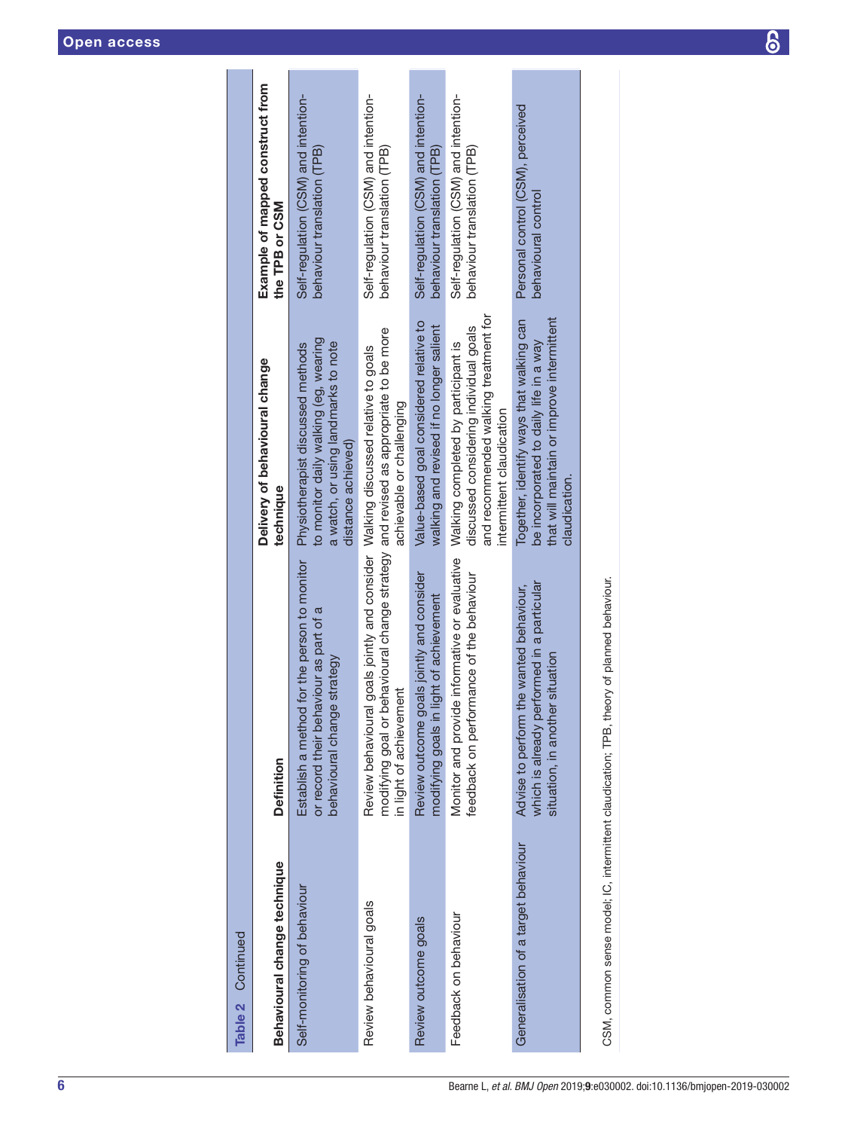| Table 2 Continued                    |                                                                                                                                      |                                                                                                                                                     |                                                                     |
|--------------------------------------|--------------------------------------------------------------------------------------------------------------------------------------|-----------------------------------------------------------------------------------------------------------------------------------------------------|---------------------------------------------------------------------|
| Behavioural change technique         | <b>Definition</b>                                                                                                                    | Delivery of behavioural change<br>technique                                                                                                         | Example of mapped construct from<br>the TPB or CSM                  |
| Self-monitoring of behaviour         | Establish a method for the person to monitor<br>or record their behaviour as part of a<br>behavioural change strategy                | to monitor daily walking (eg, wearing<br>a watch, or using landmarks to note<br>Physiotherapist discussed methods<br>distance achieved)             | Self-regulation (CSM) and intention-<br>behaviour translation (TPB) |
| Review behavioural goals             | modifying goal or behavioural change strategy and revised as appropriate to be more<br>in light of achievement<br>Review behavioural | goals jointly and consider Walking discussed relative to goals<br>achievable or challenging                                                         | Self-regulation (CSM) and intention-<br>behaviour translation (TPB) |
| Review outcome goals                 | Review outcome goals jointly and consider<br>ight of achievement<br>modifying goals in I                                             | Value-based goal considered relative to<br>walking and revised if no longer salient                                                                 | Self-regulation (CSM) and intention-<br>behaviour translation (TPB) |
| Feedback on behaviour                | Monitor and provide informative or evaluative<br>feedback on performance of the behaviour                                            | and recommended walking treatment for<br>discussed considering individual goals<br>Walking completed by participant is<br>intermittent claudication | Self-regulation (CSM) and intention-<br>behaviour translation (TPB) |
| Generalisation of a target behaviour | which is already performed in a particular<br>Advise to perform the wanted behaviour,<br>situation, in another situation             | that will maintain or improve intermittent<br>Together, identify ways that walking can<br>be incorporated to daily life in a way<br>claudication.   | Personal control (CSM), perceived<br>behavioural control            |
|                                      | CSM common sense model: IC: intermittent claudication: TPB: theory of planned behaviour                                              |                                                                                                                                                     |                                                                     |

CSM, common sense model; IC, intermittent claudication; TPB, theory of planned behaviour. ֧֪֧֪֞֝֝֞֝׆֧<br>֞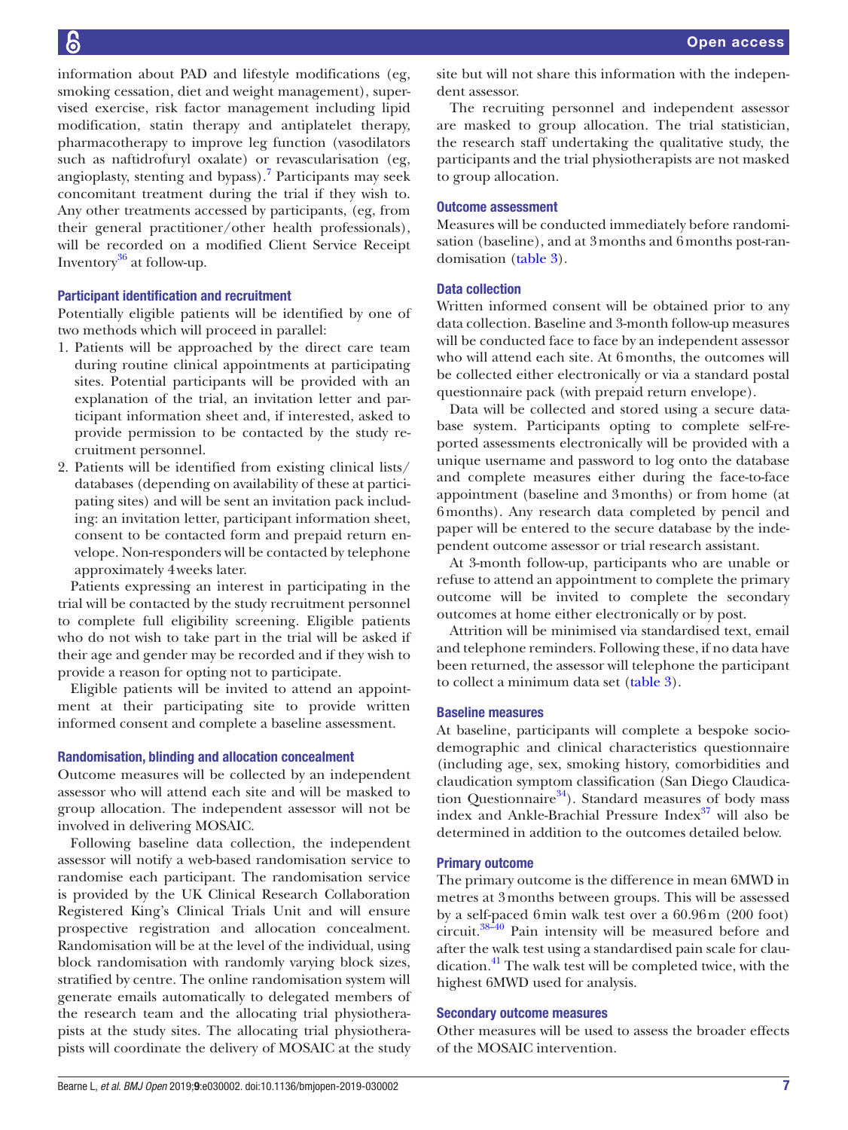information about PAD and lifestyle modifications (eg, smoking cessation, diet and weight management), supervised exercise, risk factor management including lipid modification, statin therapy and antiplatelet therapy, pharmacotherapy to improve leg function (vasodilators such as naftidrofuryl oxalate) or revascularisation (eg, angioplasty, stenting and bypass).<sup>7</sup> Participants may seek concomitant treatment during the trial if they wish to. Any other treatments accessed by participants, (eg, from their general practitioner/other health professionals), will be recorded on a modified Client Service Receipt Inventory $36$  at follow-up.

# Participant identification and recruitment

Potentially eligible patients will be identified by one of two methods which will proceed in parallel:

- 1. Patients will be approached by the direct care team during routine clinical appointments at participating sites. Potential participants will be provided with an explanation of the trial, an invitation letter and participant information sheet and, if interested, asked to provide permission to be contacted by the study recruitment personnel.
- 2. Patients will be identified from existing clinical lists/ databases (depending on availability of these at participating sites) and will be sent an invitation pack including: an invitation letter, participant information sheet, consent to be contacted form and prepaid return envelope. Non-responders will be contacted by telephone approximately 4weeks later.

Patients expressing an interest in participating in the trial will be contacted by the study recruitment personnel to complete full eligibility screening. Eligible patients who do not wish to take part in the trial will be asked if their age and gender may be recorded and if they wish to provide a reason for opting not to participate.

Eligible patients will be invited to attend an appointment at their participating site to provide written informed consent and complete a baseline assessment.

#### Randomisation, blinding and allocation concealment

Outcome measures will be collected by an independent assessor who will attend each site and will be masked to group allocation. The independent assessor will not be involved in delivering MOSAIC.

Following baseline data collection, the independent assessor will notify a web-based randomisation service to randomise each participant. The randomisation service is provided by the UK Clinical Research Collaboration Registered King's Clinical Trials Unit and will ensure prospective registration and allocation concealment. Randomisation will be at the level of the individual, using block randomisation with randomly varying block sizes, stratified by centre. The online randomisation system will generate emails automatically to delegated members of the research team and the allocating trial physiotherapists at the study sites. The allocating trial physiotherapists will coordinate the delivery of MOSAIC at the study

site but will not share this information with the independent assessor.

The recruiting personnel and independent assessor are masked to group allocation. The trial statistician, the research staff undertaking the qualitative study, the participants and the trial physiotherapists are not masked to group allocation.

# Outcome assessment

Measures will be conducted immediately before randomisation (baseline), and at 3months and 6months post-randomisation ([table](#page-7-0) 3).

## Data collection

Written informed consent will be obtained prior to any data collection. Baseline and 3-month follow-up measures will be conducted face to face by an independent assessor who will attend each site. At 6months, the outcomes will be collected either electronically or via a standard postal questionnaire pack (with prepaid return envelope).

Data will be collected and stored using a secure database system. Participants opting to complete self-reported assessments electronically will be provided with a unique username and password to log onto the database and complete measures either during the face-to-face appointment (baseline and 3months) or from home (at 6months). Any research data completed by pencil and paper will be entered to the secure database by the independent outcome assessor or trial research assistant.

At 3-month follow-up, participants who are unable or refuse to attend an appointment to complete the primary outcome will be invited to complete the secondary outcomes at home either electronically or by post.

Attrition will be minimised via standardised text, email and telephone reminders. Following these, if no data have been returned, the assessor will telephone the participant to collect a minimum data set ([table](#page-7-0) 3).

## Baseline measures

At baseline, participants will complete a bespoke sociodemographic and clinical characteristics questionnaire (including age, sex, smoking history, comorbidities and claudication symptom classification (San Diego Claudication Questionnaire $34$ ). Standard measures of body mass index and Ankle-Brachial Pressure Index<sup>37</sup> will also be determined in addition to the outcomes detailed below.

## Primary outcome

The primary outcome is the difference in mean 6MWD in metres at 3months between groups. This will be assessed by a self-paced 6min walk test over a 60.96m (200 foot) circuit[.38–40](#page-11-10) Pain intensity will be measured before and after the walk test using a standardised pain scale for claudication.<sup>41</sup> The walk test will be completed twice, with the highest 6MWD used for analysis.

#### Secondary outcome measures

Other measures will be used to assess the broader effects of the MOSAIC intervention.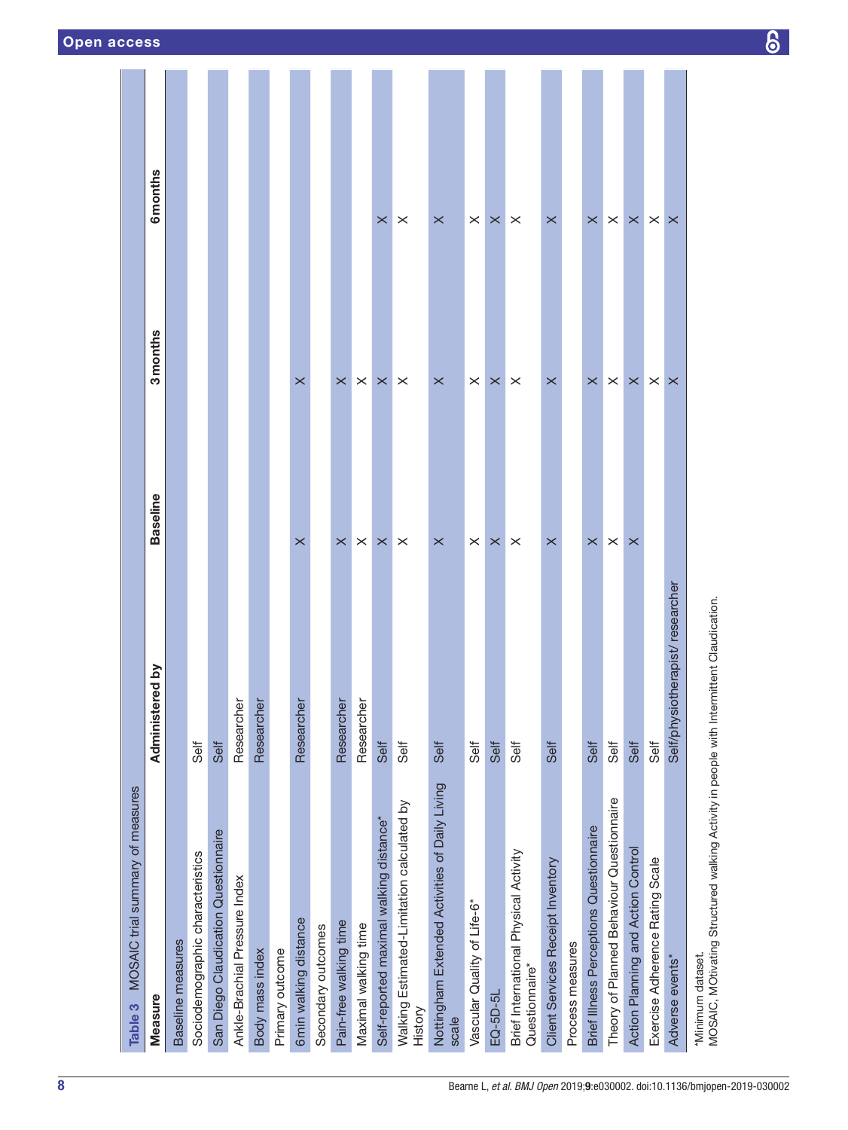<span id="page-7-0"></span>

| MOSAIC trial summary of measures<br>Table 3                                                                   |                                 |                       |          |                |
|---------------------------------------------------------------------------------------------------------------|---------------------------------|-----------------------|----------|----------------|
| Measure                                                                                                       | red by<br>Administer            | <b>Baseline</b>       | 3 months | Gmonths        |
| Baseline measures                                                                                             |                                 |                       |          |                |
| Sociodemographic characteristics                                                                              | Self                            |                       |          |                |
| San Diego Claudication Questionnaire                                                                          | Self                            |                       |          |                |
| Ankle-Brachial Pressure Index                                                                                 | Researcher                      |                       |          |                |
| Body mass index                                                                                               | Researcher                      |                       |          |                |
| Primary outcome                                                                                               |                                 |                       |          |                |
| 6 min walking distance                                                                                        | Researcher                      | $\times$              | $\times$ |                |
| Secondary outcomes                                                                                            |                                 |                       |          |                |
| Pain-free walking time                                                                                        | Researcher                      | $\times$              | $\times$ |                |
| Maximal walking time                                                                                          | Researcher                      | $\boldsymbol{\times}$ | $\times$ |                |
| Self-reported maximal walking distance*                                                                       | Self                            | $\times$              | $\times$ | $\times$       |
| Walking Estimated-Limitation calculated by<br>History                                                         | Self                            | $\boldsymbol{\times}$ | $\times$ | $\times$       |
| <b>Nottingham Extended Activities of Daily Living</b><br>scale                                                | Self                            | $\pmb{\times}$        | $\times$ | $\times$       |
| Vascular Quality of Life-6*                                                                                   | Self                            | $\boldsymbol{\times}$ | $\times$ | $\times$       |
| EQ-5D-5L                                                                                                      | Self                            | $\times$              | $\times$ | $\times$       |
| Brief International Physical Activity<br>Questionnaire*                                                       | Self                            | $\times$              | $\times$ | $\pmb{\times}$ |
| <b>Client Services Receipt Inventory</b>                                                                      | Self                            | $\times$              | ×        | ×              |
| Process measures                                                                                              |                                 |                       |          |                |
| <b>Brief Illness Perceptions Questionnaire</b>                                                                | Self                            | $\times$              | $\times$ | $\times$       |
| Theory of Planned Behaviour Questionnaire                                                                     | Self                            | $\boldsymbol{\times}$ | $\times$ | $\times$       |
| <b>Action Planning and Action Control</b>                                                                     | Self                            | $\times$              | $\times$ | $\times$       |
| Exercise Adherence Rating Scale                                                                               | Self                            |                       | $\times$ | $\times$       |
| Adverse events*                                                                                               | Self/physiotherapist/researcher |                       | $\times$ | $\times$       |
| MOSAIC, MOtivating Structured walking Activity in people with Internittent Claudication.<br>"Minimum dataset. |                                 |                       |          |                |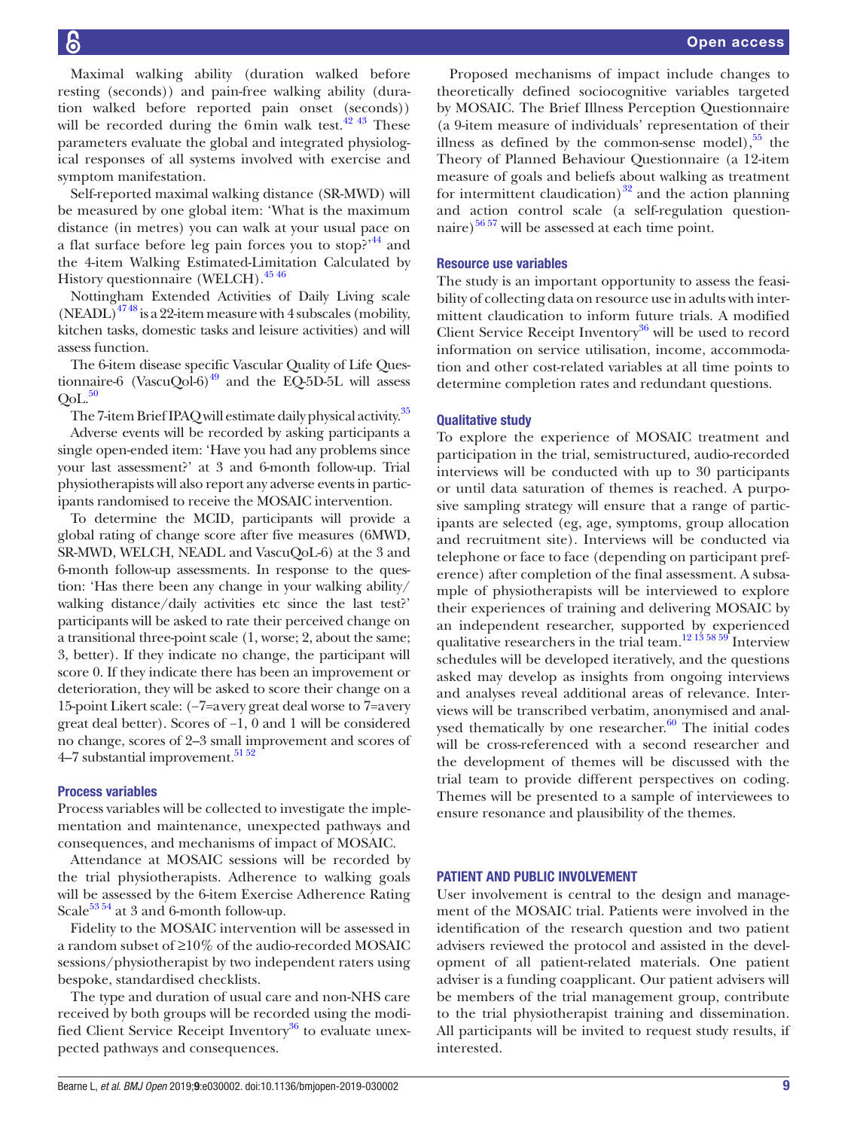Maximal walking ability (duration walked before resting (seconds)) and pain-free walking ability (duration walked before reported pain onset (seconds)) will be recorded during the 6min walk test. $42\frac{43}{13}$  These parameters evaluate the global and integrated physiological responses of all systems involved with exercise and symptom manifestation.

Self-reported maximal walking distance (SR-MWD) will be measured by one global item: 'What is the maximum distance (in metres) you can walk at your usual pace on a flat surface before leg pain forces you to stop?<sup>44</sup> and the 4-item Walking Estimated-Limitation Calculated by History questionnaire (WELCH).<sup>4546</sup>

Nottingham Extended Activities of Daily Living scale  $(NEADL)^{4748}$  is a 22-item measure with 4 subscales (mobility, kitchen tasks, domestic tasks and leisure activities) and will assess function.

The 6-item disease specific Vascular Quality of Life Questionnaire-6 (VascuQol-6)<sup>49</sup> and the EQ-5D-5L will assess  $\mathrm{OoL}^{50}$ 

The 7-item Brief IPAQ will estimate daily physical activity.<sup>[35](#page-11-7)</sup>

Adverse events will be recorded by asking participants a single open-ended item: 'Have you had any problems since your last assessment?' at 3 and 6-month follow-up. Trial physiotherapists will also report any adverse events in participants randomised to receive the MOSAIC intervention.

To determine the MCID, participants will provide a global rating of change score after five measures (6MWD, SR-MWD, WELCH, NEADL and VascuQoL-6) at the 3 and 6-month follow-up assessments. In response to the question: 'Has there been any change in your walking ability/ walking distance/daily activities etc since the last test?' participants will be asked to rate their perceived change on a transitional three-point scale (1, worse; 2, about the same; 3, better). If they indicate no change, the participant will score 0. If they indicate there has been an improvement or deterioration, they will be asked to score their change on a 15-point Likert scale: (−7=avery great deal worse to 7=avery great deal better). Scores of −1, 0 and 1 will be considered no change, scores of 2–3 small improvement and scores of  $4-7$  substantial improvement.<sup>51 52</sup>

## Process variables

Process variables will be collected to investigate the implementation and maintenance, unexpected pathways and consequences, and mechanisms of impact of MOSAIC.

Attendance at MOSAIC sessions will be recorded by the trial physiotherapists. Adherence to walking goals will be assessed by the 6-item Exercise Adherence Rating Scale $53\frac{54}{4}$  at 3 and 6-month follow-up.

Fidelity to the MOSAIC intervention will be assessed in a random subset of ≥10% of the audio-recorded MOSAIC sessions/physiotherapist by two independent raters using bespoke, standardised checklists.

The type and duration of usual care and non-NHS care received by both groups will be recorded using the modified Client Service Receipt Inventory<sup>36</sup> to evaluate unexpected pathways and consequences.

Proposed mechanisms of impact include changes to theoretically defined sociocognitive variables targeted by MOSAIC. The Brief Illness Perception Questionnaire (a 9-item measure of individuals' representation of their illness as defined by the common-sense model),  $55$  the Theory of Planned Behaviour Questionnaire (a 12-item measure of goals and beliefs about walking as treatment for intermittent claudication) $32$  and the action planning and action control scale (a self-regulation questionnaire) $56\,57$  will be assessed at each time point.

## Resource use variables

The study is an important opportunity to assess the feasibility of collecting data on resource use in adults with intermittent claudication to inform future trials. A modified Client Service Receipt Inventory $36$  will be used to record information on service utilisation, income, accommodation and other cost-related variables at all time points to determine completion rates and redundant questions.

#### Qualitative study

To explore the experience of MOSAIC treatment and participation in the trial, semistructured, audio-recorded interviews will be conducted with up to 30 participants or until data saturation of themes is reached. A purposive sampling strategy will ensure that a range of participants are selected (eg, age, symptoms, group allocation and recruitment site). Interviews will be conducted via telephone or face to face (depending on participant preference) after completion of the final assessment. A subsample of physiotherapists will be interviewed to explore their experiences of training and delivering MOSAIC by an independent researcher, supported by experienced qualitative researchers in the trial team.<sup>1213 58 59</sup> Interview schedules will be developed iteratively, and the questions asked may develop as insights from ongoing interviews and analyses reveal additional areas of relevance. Interviews will be transcribed verbatim, anonymised and analysed thematically by one researcher. $60$  The initial codes will be cross-referenced with a second researcher and the development of themes will be discussed with the trial team to provide different perspectives on coding. Themes will be presented to a sample of interviewees to ensure resonance and plausibility of the themes.

#### Patient and public involvement

User involvement is central to the design and management of the MOSAIC trial. Patients were involved in the identification of the research question and two patient advisers reviewed the protocol and assisted in the development of all patient-related materials. One patient adviser is a funding coapplicant. Our patient advisers will be members of the trial management group, contribute to the trial physiotherapist training and dissemination. All participants will be invited to request study results, if interested.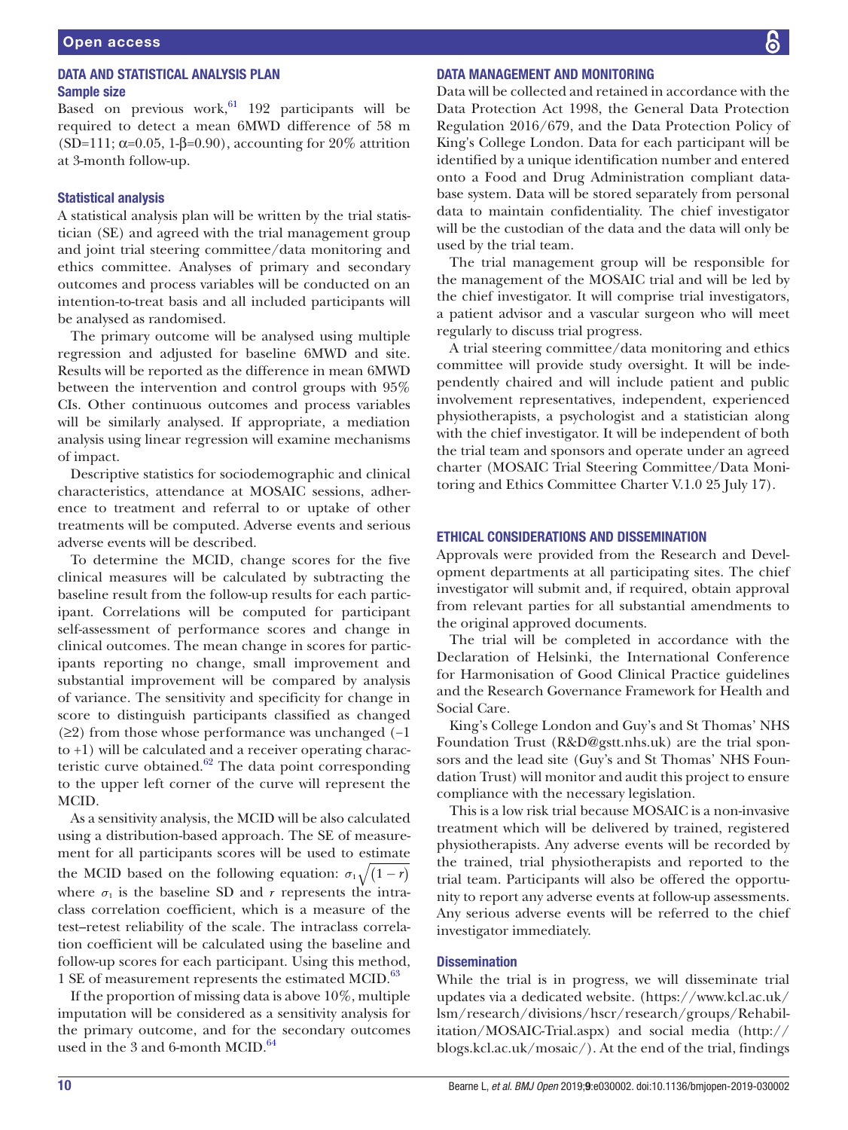## DATA AND STATISTICAL ANALYSIS PLAN Sample size

Based on previous work, $61$  192 participants will be required to detect a mean 6MWD difference of 58 m (SD=111; α=0.05, 1-β=0.90), accounting for 20% attrition at 3-month follow-up.

## Statistical analysis

A statistical analysis plan will be written by the trial statistician (SE) and agreed with the trial management group and joint trial steering committee/data monitoring and ethics committee. Analyses of primary and secondary outcomes and process variables will be conducted on an intention-to-treat basis and all included participants will be analysed as randomised.

The primary outcome will be analysed using multiple regression and adjusted for baseline 6MWD and site. Results will be reported as the difference in mean 6MWD between the intervention and control groups with 95% CIs. Other continuous outcomes and process variables will be similarly analysed. If appropriate, a mediation analysis using linear regression will examine mechanisms of impact.

Descriptive statistics for sociodemographic and clinical characteristics, attendance at MOSAIC sessions, adherence to treatment and referral to or uptake of other treatments will be computed. Adverse events and serious adverse events will be described.

To determine the MCID, change scores for the five clinical measures will be calculated by subtracting the baseline result from the follow-up results for each participant. Correlations will be computed for participant self-assessment of performance scores and change in clinical outcomes. The mean change in scores for participants reporting no change, small improvement and substantial improvement will be compared by analysis of variance. The sensitivity and specificity for change in score to distinguish participants classified as changed (≥2) from those whose performance was unchanged (−1 to +1) will be calculated and a receiver operating characteristic curve obtained. $62$  The data point corresponding to the upper left corner of the curve will represent the MCID.

As a sensitivity analysis, the MCID will be also calculated using a distribution-based approach. The SE of measurement for all participants scores will be used to estimate the MCID based on the following equation:  $\sigma_1 \sqrt{(1-r)}$ where  $\sigma_1$  is the baseline SD and *r* represents the intraclass correlation coefficient, which is a measure of the test–retest reliability of the scale. The intraclass correlation coefficient will be calculated using the baseline and follow-up scores for each participant. Using this method, 1 SE of measurement represents the estimated MCID.<sup>63</sup>

If the proportion of missing data is above 10%, multiple imputation will be considered as a sensitivity analysis for the primary outcome, and for the secondary outcomes used in the 3 and 6-month MCID.<sup>64</sup>

Data will be collected and retained in accordance with the Data Protection Act 1998, the General Data Protection Regulation 2016/679, and the Data Protection Policy of King's College London. Data for each participant will be identified by a unique identification number and entered onto a Food and Drug Administration compliant database system. Data will be stored separately from personal data to maintain confidentiality. The chief investigator will be the custodian of the data and the data will only be used by the trial team.

The trial management group will be responsible for the management of the MOSAIC trial and will be led by the chief investigator. It will comprise trial investigators, a patient advisor and a vascular surgeon who will meet regularly to discuss trial progress.

A trial steering committee/data monitoring and ethics committee will provide study oversight. It will be independently chaired and will include patient and public involvement representatives, independent, experienced physiotherapists, a psychologist and a statistician along with the chief investigator. It will be independent of both the trial team and sponsors and operate under an agreed charter (MOSAIC Trial Steering Committee/Data Monitoring and Ethics Committee Charter V.1.0 25 July 17).

## Ethical considerations and dissemination

Approvals were provided from the Research and Development departments at all participating sites. The chief investigator will submit and, if required, obtain approval from relevant parties for all substantial amendments to the original approved documents.

The trial will be completed in accordance with the Declaration of Helsinki, the International Conference for Harmonisation of Good Clinical Practice guidelines and the Research Governance Framework for Health and Social Care.

King's College London and Guy's and St Thomas' NHS Foundation Trust (R&D@gstt.nhs.uk) are the trial sponsors and the lead site (Guy's and St Thomas' NHS Foundation Trust) will monitor and audit this project to ensure compliance with the necessary legislation.

This is a low risk trial because MOSAIC is a non-invasive treatment which will be delivered by trained, registered physiotherapists. Any adverse events will be recorded by the trained, trial physiotherapists and reported to the trial team. Participants will also be offered the opportunity to report any adverse events at follow-up assessments. Any serious adverse events will be referred to the chief investigator immediately.

## **Dissemination**

While the trial is in progress, we will disseminate trial updates via a dedicated website. ([https://www.kcl.ac.uk/](https://www.kcl.ac.uk/lsm/research/divisions/hscr/research/groups/Rehabilitation/MOSAIC-Trial.aspx) [lsm/research/divisions/hscr/research/groups/Rehabil](https://www.kcl.ac.uk/lsm/research/divisions/hscr/research/groups/Rehabilitation/MOSAIC-Trial.aspx)[itation/MOSAIC-Trial.aspx\)](https://www.kcl.ac.uk/lsm/research/divisions/hscr/research/groups/Rehabilitation/MOSAIC-Trial.aspx) and social media [\(http://](http://blogs.kcl.ac.uk/mosaic/) [blogs.kcl.ac.uk/mosaic/](http://blogs.kcl.ac.uk/mosaic/)). At the end of the trial, findings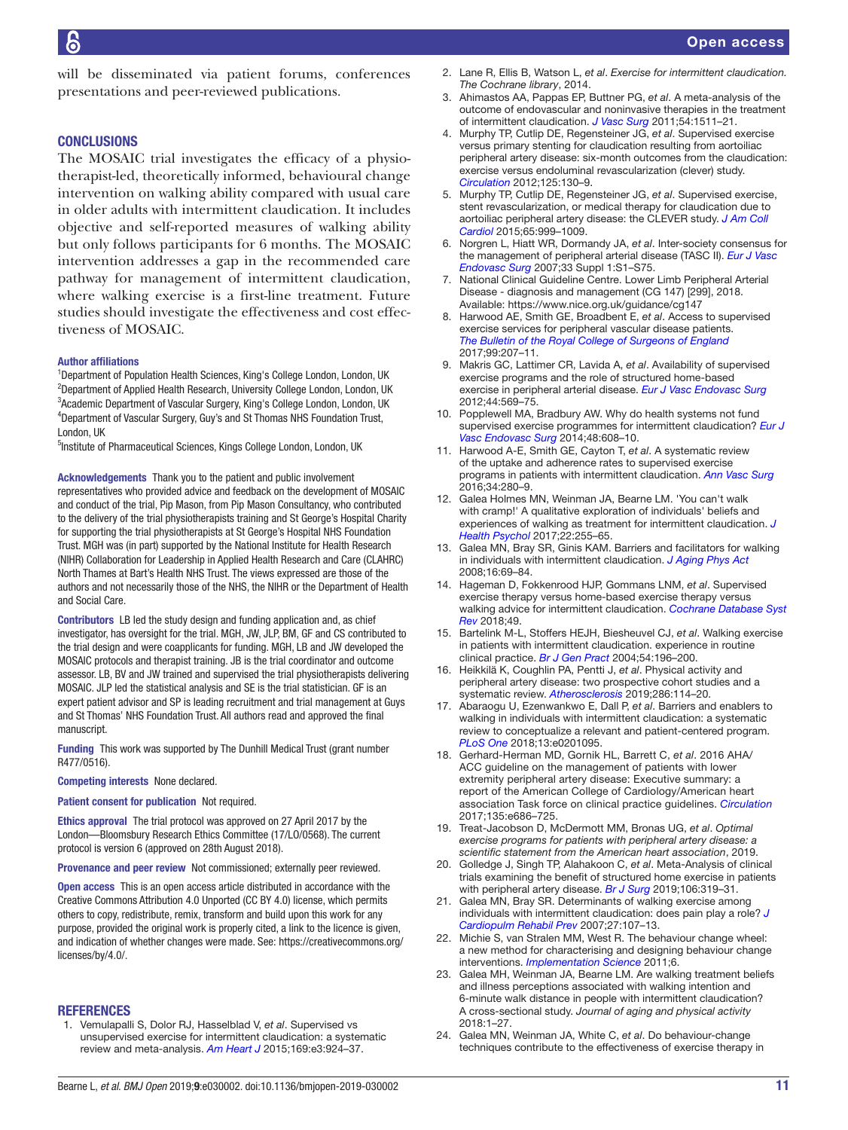will be disseminated via patient forums, conferences presentations and peer-reviewed publications.

## **CONCLUSIONS**

The MOSAIC trial investigates the efficacy of a physiotherapist-led, theoretically informed, behavioural change intervention on walking ability compared with usual care in older adults with intermittent claudication. It includes objective and self-reported measures of walking ability but only follows participants for 6 months. The MOSAIC intervention addresses a gap in the recommended care pathway for management of intermittent claudication, where walking exercise is a first-line treatment. Future studies should investigate the effectiveness and cost effectiveness of MOSAIC.

#### Author affiliations

<sup>1</sup>Department of Population Health Sciences, King's College London, London, UK <sup>2</sup>Department of Applied Health Research, University College London, London, UK <sup>3</sup>Academic Department of Vascular Surgery, King's College London, London, UK 4 Department of Vascular Surgery, Guy's and St Thomas NHS Foundation Trust, London, UK

<sup>5</sup>Institute of Pharmaceutical Sciences, Kings College London, London, UK

Acknowledgements Thank you to the patient and public involvement representatives who provided advice and feedback on the development of MOSAIC and conduct of the trial, Pip Mason, from Pip Mason Consultancy, who contributed to the delivery of the trial physiotherapists training and St George's Hospital Charity for supporting the trial physiotherapists at St George's Hospital NHS Foundation Trust. MGH was (in part) supported by the National Institute for Health Research (NIHR) Collaboration for Leadership in Applied Health Research and Care (CLAHRC) North Thames at Bart's Health NHS Trust. The views expressed are those of the authors and not necessarily those of the NHS, the NIHR or the Department of Health and Social Care.

Contributors LB led the study design and funding application and, as chief investigator, has oversight for the trial. MGH, JW, JLP, BM, GF and CS contributed to the trial design and were coapplicants for funding. MGH, LB and JW developed the MOSAIC protocols and therapist training. JB is the trial coordinator and outcome assessor. LB, BV and JW trained and supervised the trial physiotherapists delivering MOSAIC. JLP led the statistical analysis and SE is the trial statistician. GF is an expert patient advisor and SP is leading recruitment and trial management at Guys and St Thomas' NHS Foundation Trust. All authors read and approved the final manuscript.

Funding This work was supported by The Dunhill Medical Trust (grant number R477/0516).

#### Competing interests None declared.

#### Patient consent for publication Not required.

Ethics approval The trial protocol was approved on 27 April 2017 by the London—Bloomsbury Research Ethics Committee (17/LO/0568). The current protocol is version 6 (approved on 28th August 2018).

Provenance and peer review Not commissioned; externally peer reviewed.

Open access This is an open access article distributed in accordance with the Creative Commons Attribution 4.0 Unported (CC BY 4.0) license, which permits others to copy, redistribute, remix, transform and build upon this work for any purpose, provided the original work is properly cited, a link to the licence is given, and indication of whether changes were made. See: [https://creativecommons.org/](https://creativecommons.org/licenses/by/4.0/) [licenses/by/4.0/.](https://creativecommons.org/licenses/by/4.0/)

#### **REFERENCES**

<span id="page-10-0"></span>1. Vemulapalli S, Dolor RJ, Hasselblad V, *et al*. Supervised vs unsupervised exercise for intermittent claudication: a systematic review and meta-analysis. *[Am Heart J](http://dx.doi.org/10.1016/j.ahj.2015.03.009)* 2015;169:e3:924–37.

- <span id="page-10-1"></span>2. Lane R, Ellis B, Watson L, *et al*. *Exercise for intermittent claudication. The Cochrane library*, 2014.
- <span id="page-10-2"></span>3. Ahimastos AA, Pappas EP, Buttner PG, *et al*. A meta-analysis of the outcome of endovascular and noninvasive therapies in the treatment of intermittent claudication. *[J Vasc Surg](http://dx.doi.org/10.1016/j.jvs.2011.06.106)* 2011;54:1511–21.
- <span id="page-10-3"></span>4. Murphy TP, Cutlip DE, Regensteiner JG, *et al*. Supervised exercise versus primary stenting for claudication resulting from aortoiliac peripheral artery disease: six-month outcomes from the claudication: exercise versus endoluminal revascularization (clever) study. *[Circulation](http://dx.doi.org/10.1161/CIRCULATIONAHA.111.075770)* 2012;125:130–9.
- 5. Murphy TP, Cutlip DE, Regensteiner JG, *et al*. Supervised exercise, stent revascularization, or medical therapy for claudication due to aortoiliac peripheral artery disease: the CLEVER study. *[J Am Coll](http://dx.doi.org/10.1016/j.jacc.2014.12.043)  [Cardiol](http://dx.doi.org/10.1016/j.jacc.2014.12.043)* 2015;65:999–1009.
- <span id="page-10-4"></span>6. Norgren L, Hiatt WR, Dormandy JA, *et al*. Inter-society consensus for the management of peripheral arterial disease (TASC II). *[Eur J Vasc](http://dx.doi.org/10.1016/j.ejvs.2006.09.024)  [Endovasc Surg](http://dx.doi.org/10.1016/j.ejvs.2006.09.024)* 2007;33 Suppl 1:S1–S75.
- <span id="page-10-5"></span>7. National Clinical Guideline Centre. Lower Limb Peripheral Arterial Disease - diagnosis and management (CG 147) [299], 2018. Available: <https://www.nice.org.uk/guidance/cg147>
- <span id="page-10-6"></span>8. Harwood AE, Smith GE, Broadbent E, *et al*. Access to supervised exercise services for peripheral vascular disease patients. *[The Bulletin of the Royal College of Surgeons of England](http://dx.doi.org/10.1308/rcsbull.2017.207)* 2017;99:207–11.
- 9. Makris GC, Lattimer CR, Lavida A, *et al*. Availability of supervised exercise programs and the role of structured home-based exercise in peripheral arterial disease. *[Eur J Vasc Endovasc Surg](http://dx.doi.org/10.1016/j.ejvs.2012.09.009)* 2012;44:569–75.
- <span id="page-10-9"></span>10. Popplewell MA, Bradbury AW. Why do health systems not fund supervised exercise programmes for intermittent claudication? *[Eur J](http://dx.doi.org/10.1016/j.ejvs.2014.07.008)  [Vasc Endovasc Surg](http://dx.doi.org/10.1016/j.ejvs.2014.07.008)* 2014;48:608–10.
- <span id="page-10-7"></span>11. Harwood A-E, Smith GE, Cayton T, *et al*. A systematic review of the uptake and adherence rates to supervised exercise programs in patients with intermittent claudication. *[Ann Vasc Surg](http://dx.doi.org/10.1016/j.avsg.2016.02.009)* 2016;34:280–9.
- <span id="page-10-8"></span>12. Galea Holmes MN, Weinman JA, Bearne LM. 'You can't walk with cramp!' A qualitative exploration of individuals' beliefs and experiences of walking as treatment for intermittent claudication. *[J](http://dx.doi.org/10.1177/1359105315600238)  [Health Psychol](http://dx.doi.org/10.1177/1359105315600238)* 2017;22:255–65.
- <span id="page-10-11"></span>13. Galea MN, Bray SR, Ginis KAM. Barriers and facilitators for walking in individuals with intermittent claudication. *[J Aging Phys Act](http://dx.doi.org/10.1123/japa.16.1.69)* 2008;16:69–84.
- <span id="page-10-10"></span>14. Hageman D, Fokkenrood HJP, Gommans LNM, *et al*. Supervised exercise therapy versus home-based exercise therapy versus walking advice for intermittent claudication. *[Cochrane Database Syst](http://dx.doi.org/10.1002/14651858.CD005263.pub4)  [Rev](http://dx.doi.org/10.1002/14651858.CD005263.pub4)* 2018;49.
- 15. Bartelink M-L, Stoffers HEJH, Biesheuvel CJ, *et al*. Walking exercise in patients with intermittent claudication. experience in routine clinical practice. *[Br J Gen Pract](http://www.ncbi.nlm.nih.gov/pubmed/15006125)* 2004;54:196–200.
- 16. Heikkilä K, Coughlin PA, Pentti J, *et al*. Physical activity and peripheral artery disease: two prospective cohort studies and a systematic review. *[Atherosclerosis](http://dx.doi.org/10.1016/j.atherosclerosis.2019.05.008)* 2019;286:114–20.
- 17. Abaraogu U, Ezenwankwo E, Dall P, *et al*. Barriers and enablers to walking in individuals with intermittent claudication: a systematic review to conceptualize a relevant and patient-centered program. *[PLoS One](http://dx.doi.org/10.1371/journal.pone.0201095)* 2018;13:e0201095.
- <span id="page-10-12"></span>18. Gerhard-Herman MD, Gornik HL, Barrett C, *et al*. 2016 AHA/ ACC guideline on the management of patients with lower extremity peripheral artery disease: Executive summary: a report of the American College of Cardiology/American heart association Task force on clinical practice guidelines. *[Circulation](http://dx.doi.org/10.1161/CIR.0000000000000470)* 2017;135:e686–725.
- 19. Treat-Jacobson D, McDermott MM, Bronas UG, *et al*. *Optimal exercise programs for patients with peripheral artery disease: a scientific statement from the American heart association*, 2019.
- 20. Golledge J, Singh TP, Alahakoon C, *et al*. Meta-Analysis of clinical trials examining the benefit of structured home exercise in patients with peripheral artery disease. *[Br J Surg](http://dx.doi.org/10.1002/bjs.11101)* 2019;106:319–31.
- <span id="page-10-13"></span>21. Galea MN, Bray SR. Determinants of walking exercise among individuals with intermittent claudication: does pain play a role? *[J](http://dx.doi.org/10.1097/01.HCR.0000265045.36725.97)  [Cardiopulm Rehabil Prev](http://dx.doi.org/10.1097/01.HCR.0000265045.36725.97)* 2007;27:107–13.
- <span id="page-10-14"></span>22. Michie S, van Stralen MM, West R. The behaviour change wheel: a new method for characterising and designing behaviour change interventions. *[Implementation Science](http://dx.doi.org/10.1186/1748-5908-6-42)* 2011;6.
- <span id="page-10-16"></span>23. Galea MH, Weinman JA, Bearne LM. Are walking treatment beliefs and illness perceptions associated with walking intention and 6-minute walk distance in people with intermittent claudication? A cross-sectional study. *Journal of aging and physical activity* 2018:1–27.
- <span id="page-10-15"></span>24. Galea MN, Weinman JA, White C, *et al*. Do behaviour-change techniques contribute to the effectiveness of exercise therapy in